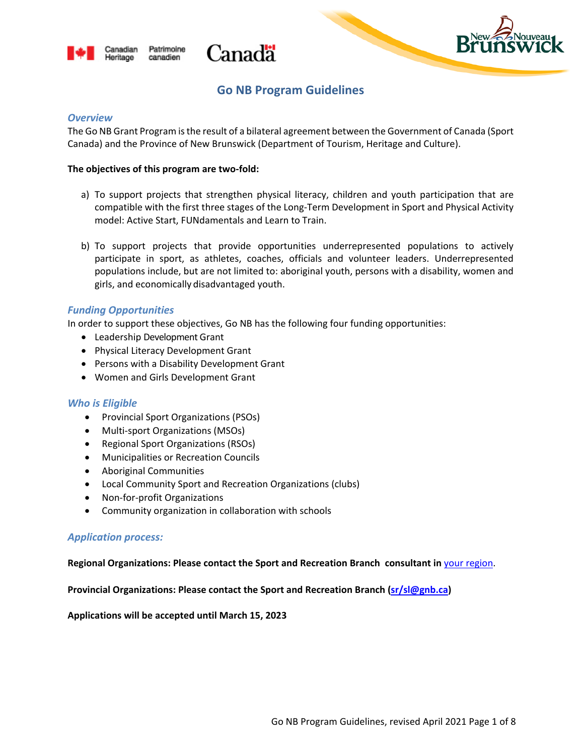





# **Go NB Program Guidelines**

#### *Overview*

The Go NB Grant Program is the result of a bilateral agreement between the Government of Canada (Sport Canada) and the Province of New Brunswick (Department of Tourism, Heritage and Culture).

#### **The objectives of this program are two-fold:**

- a) To support projects that strengthen physical literacy, children and youth participation that are compatible with the first three stages of the Long-Term Development in Sport and Physical Activity model: Active Start, FUNdamentals and Learn to Train.
- b) To support projects that provide opportunities underrepresented populations to actively participate in sport, as athletes, coaches, officials and volunteer leaders. Underrepresented populations include, but are not limited to: aboriginal youth, persons with a disability, women and girls, and economically disadvantaged youth.

# *Funding Opportunities*

In order to support these objectives, Go NB has the following four funding opportunities:

- Leadership Development Grant
- Physical Literacy Development Grant
- Persons with a Disability Development Grant
- Women and Girls Development Grant

# *Who is Eligible*

- Provincial Sport Organizations (PSOs)
- Multi-sport Organizations (MSOs)
- Regional Sport Organizations (RSOs)
- Municipalities or Recreation Councils
- Aboriginal Communities
- Local Community Sport and Recreation Organizations (clubs)
- Non-for-profit Organizations
- Community organization in collaboration with schools

# *Application process:*

#### **Regional Organizations: Please contact the Sport and Recreation Branch consultant in** [your region.](https://www2.gnb.ca/content/dam/gnb/Departments/thc-tpc/pdf/Sport/RegionalMapACBranch.pdf)

**Provincial Organizations: Please contact the Sport and Recreation Branch [\(sr/sl@gnb.ca\)](mailto:sr/sl@gnb.ca)**

**Applications will be accepted until March 15, 2023**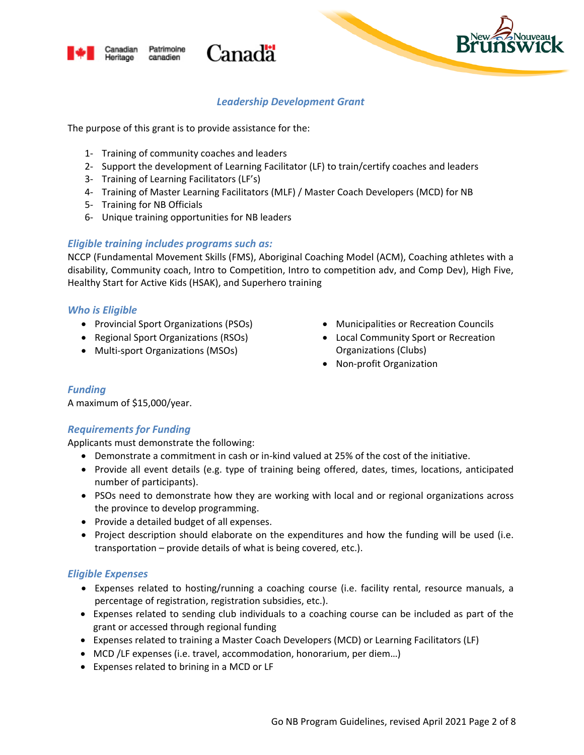



# *Leadership Development Grant*

The purpose of this grant is to provide assistance for the:

- 1- Training of community coaches and leaders
- 2- Support the development of Learning Facilitator (LF) to train/certify coaches and leaders
- 3- Training of Learning Facilitators (LF's)

Patrimoine

canadien

anadian

Heritage

- 4- Training of Master Learning Facilitators (MLF) / Master Coach Developers (MCD) for NB
- 5- Training for NB Officials
- 6- Unique training opportunities for NB leaders

# *Eligible training includes programs such as:*

NCCP (Fundamental Movement Skills (FMS), Aboriginal Coaching Model (ACM), Coaching athletes with a disability, Community coach, Intro to Competition, Intro to competition adv, and Comp Dev), High Five, Healthy Start for Active Kids (HSAK), and Superhero training

# *Who is Eligible*

- Provincial Sport Organizations (PSOs)
- Regional Sport Organizations (RSOs)
- Multi-sport Organizations (MSOs)
- Municipalities or Recreation Councils
- Local Community Sport or Recreation Organizations (Clubs)
- Non-profit Organization

# *Funding*

A maximum of \$15,000/year.

# *Requirements for Funding*

Applicants must demonstrate the following:

- Demonstrate a commitment in cash or in-kind valued at 25% of the cost of the initiative.
- Provide all event details (e.g. type of training being offered, dates, times, locations, anticipated number of participants).
- PSOs need to demonstrate how they are working with local and or regional organizations across the province to develop programming.
- Provide a detailed budget of all expenses.
- Project description should elaborate on the expenditures and how the funding will be used (i.e. transportation – provide details of what is being covered, etc.).

# *Eligible Expenses*

- Expenses related to hosting/running a coaching course (i.e. facility rental, resource manuals, a percentage of registration, registration subsidies, etc.).
- Expenses related to sending club individuals to a coaching course can be included as part of the grant or accessed through regional funding
- Expenses related to training a Master Coach Developers (MCD) or Learning Facilitators (LF)
- MCD /LF expenses (i.e. travel, accommodation, honorarium, per diem…)
- Expenses related to brining in a MCD or LF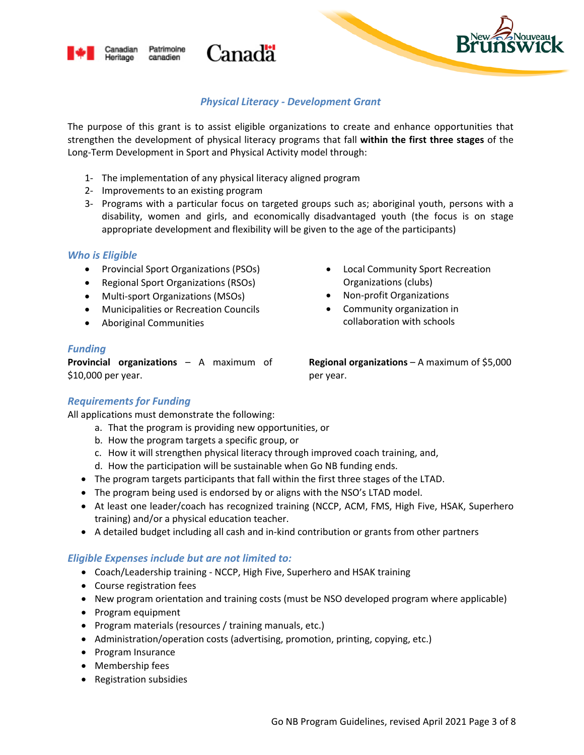

# *Physical Literacy - Development Grant*

The purpose of this grant is to assist eligible organizations to create and enhance opportunities that strengthen the development of physical literacy programs that fall **within the first three stages** of the Long-Term Development in Sport and Physical Activity model through:

1- The implementation of any physical literacy aligned program

Canadä

- 2- Improvements to an existing program
- 3- Programs with a particular focus on targeted groups such as; aboriginal youth, persons with a disability, women and girls, and economically disadvantaged youth (the focus is on stage appropriate development and flexibility will be given to the age of the participants)

# *Who is Eligible*

- Provincial Sport Organizations (PSOs)
- Regional Sport Organizations (RSOs)
- Multi-sport Organizations (MSOs)
- Municipalities or Recreation Councils
- Aboriginal Communities
- Local Community Sport Recreation Organizations (clubs)
- Non-profit Organizations
- Community organization in collaboration with schools

# *Funding*

**Provincial organizations** – A maximum of \$10,000 per year.

**Regional organizations** – A maximum of \$5,000 per year.

# *Requirements for Funding*

All applications must demonstrate the following:

- a. That the program is providing new opportunities, or
- b. How the program targets a specific group, or
- c. How it will strengthen physical literacy through improved coach training, and,
- d. How the participation will be sustainable when Go NB funding ends.
- The program targets participants that fall within the first three stages of the LTAD.
- The program being used is endorsed by or aligns with the NSO's LTAD model.
- At least one leader/coach has recognized training (NCCP, ACM, FMS, High Five, HSAK, Superhero training) and/or a physical education teacher.
- A detailed budget including all cash and in-kind contribution or grants from other partners

- Coach/Leadership training NCCP, High Five, Superhero and HSAK training
- Course registration fees
- New program orientation and training costs (must be NSO developed program where applicable)
- Program equipment
- Program materials (resources / training manuals, etc.)
- Administration/operation costs (advertising, promotion, printing, copying, etc.)
- Program Insurance
- Membership fees
- Registration subsidies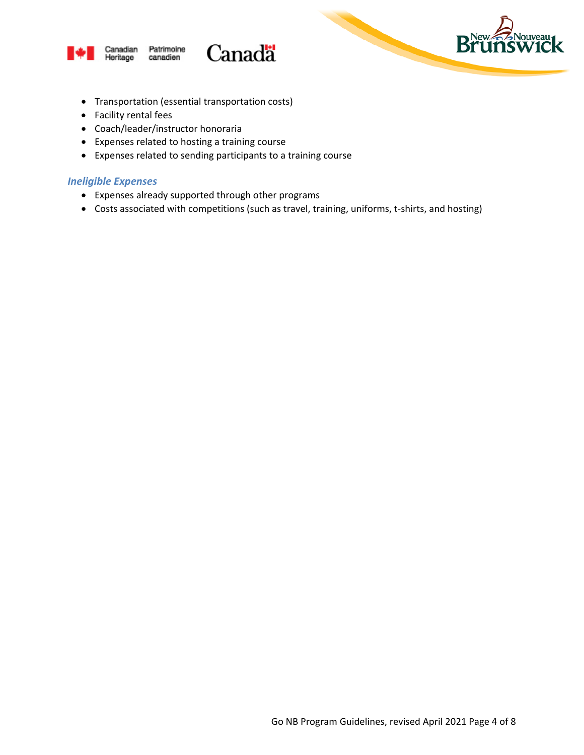

#### Canadian Patrimoine Heritage canadien



- Transportation (essential transportation costs)
- Facility rental fees
- Coach/leader/instructor honoraria
- Expenses related to hosting a training course
- Expenses related to sending participants to a training course

Canadä

# *Ineligible Expenses*

- Expenses already supported through other programs
- Costs associated with competitions (such as travel, training, uniforms, t-shirts, and hosting)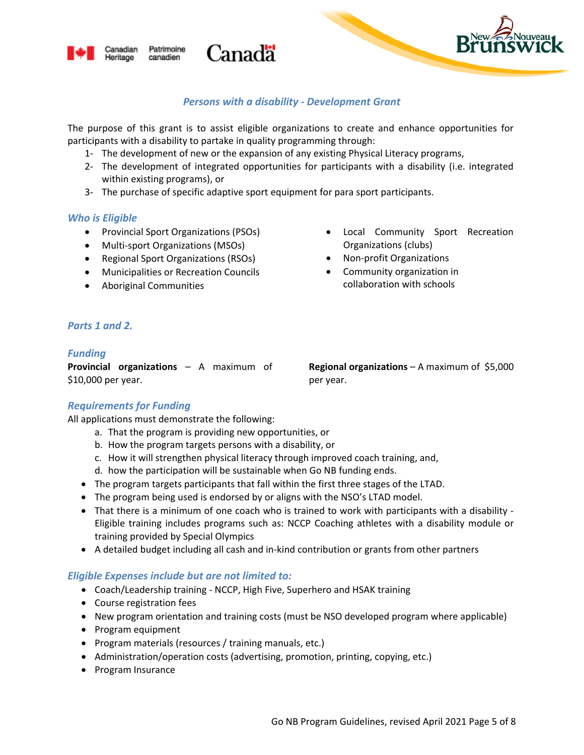

# *Persons with a disability - Development Grant*

The purpose of this grant is to assist eligible organizations to create and enhance opportunities for participants with a disability to partake in quality programming through:

- 1- The development of new or the expansion of any existing Physical Literacy programs,
- 2- The development of integrated opportunities for participants with a disability (i.e. integrated within existing programs), or
- 3- The purchase of specific adaptive sport equipment for para sport participants.

Canadä

# *Who is Eligible*

• Provincial Sport Organizations (PSOs)

Patrimoine

canadien

anadian

Heritage

- Multi-sport Organizations (MSOs)
- Regional Sport Organizations (RSOs)
- Municipalities or Recreation Councils
- Aboriginal Communities
- Local Community Sport Recreation Organizations (clubs)
- Non-profit Organizations
- Community organization in collaboration with schools

#### *Parts 1 and 2.*

#### *Funding*

**Provincial organizations** – A maximum of \$10,000 per year.

**Regional organizations** – A maximum of \$5,000 per year.

# *Requirements for Funding*

All applications must demonstrate the following:

- a. That the program is providing new opportunities, or
- b. How the program targets persons with a disability, or
- c. How it will strengthen physical literacy through improved coach training, and,
- d. how the participation will be sustainable when Go NB funding ends.
- The program targets participants that fall within the first three stages of the LTAD.
- The program being used is endorsed by or aligns with the NSO's LTAD model.
- That there is a minimum of one coach who is trained to work with participants with a disability Eligible training includes programs such as: NCCP Coaching athletes with a disability module or training provided by Special Olympics
- A detailed budget including all cash and in-kind contribution or grants from other partners

- Coach/Leadership training NCCP, High Five, Superhero and HSAK training
- Course registration fees
- New program orientation and training costs (must be NSO developed program where applicable)
- Program equipment
- Program materials (resources / training manuals, etc.)
- Administration/operation costs (advertising, promotion, printing, copying, etc.)
- Program Insurance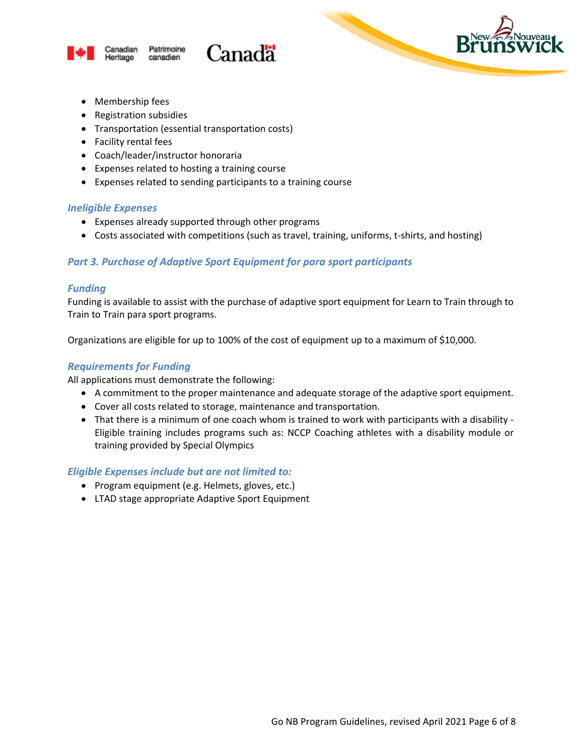



- Membership fees
- Registration subsidies
- Transportation (essential transportation costs)
- Facility rental fees
- Coach/leader/instructor honoraria
- Expenses related to hosting a training course
- Expenses related to sending participants to a training course

# *Ineligible Expenses*

- Expenses already supported through other programs
- Costs associated with competitions (such as travel, training, uniforms, t-shirts, and hosting)

# *Part 3. Purchase of Adaptive Sport Equipment for para sport participants*

Canadä

# *Funding*

Funding is available to assist with the purchase of adaptive sport equipment for Learn to Train through to Train to Train para sport programs.

Organizations are eligible for up to 100% of the cost of equipment up to a maximum of \$10,000.

# *Requirements for Funding*

All applications must demonstrate the following:

- A commitment to the proper maintenance and adequate storage of the adaptive sport equipment.
- Cover all costs related to storage, maintenance and transportation.
- That there is a minimum of one coach whom is trained to work with participants with a disability Eligible training includes programs such as: NCCP Coaching athletes with a disability module or training provided by Special Olympics

- Program equipment (e.g. Helmets, gloves, etc.)
- LTAD stage appropriate Adaptive Sport Equipment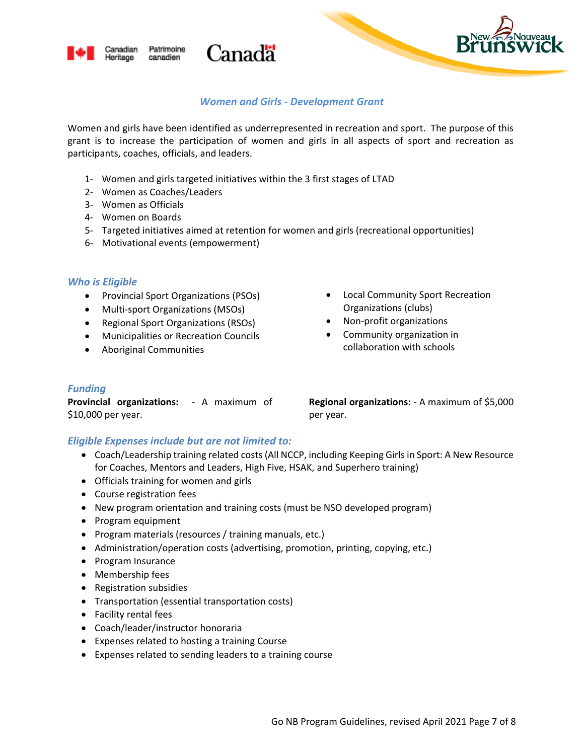

# *Women and Girls - Development Grant*

Women and girls have been identified as underrepresented in recreation and sport. The purpose of this grant is to increase the participation of women and girls in all aspects of sport and recreation as participants, coaches, officials, and leaders.

1- Women and girls targeted initiatives within the 3 first stages of LTAD

Canadä

2- Women as Coaches/Leaders

Patrimoine

canadien

3- Women as Officials

anadian

Heritage

- 4- Women on Boards
- 5- Targeted initiatives aimed at retention for women and girls (recreational opportunities)
- 6- Motivational events (empowerment)

#### *Who is Eligible*

- Provincial Sport Organizations (PSOs)
- Multi-sport Organizations (MSOs)
- Regional Sport Organizations (RSOs)
- Municipalities or Recreation Councils
- Aboriginal Communities
- Local Community Sport Recreation Organizations (clubs)
- Non-profit organizations
- Community organization in collaboration with schools

#### *Funding*

**Provincial organizations:** - A maximum of \$10,000 per year.

**Regional organizations:** - A maximum of \$5,000 per year.

- Coach/Leadership training related costs (All NCCP, including Keeping Girls in Sport: A New Resource for Coaches, Mentors and Leaders, High Five, HSAK, and Superhero training)
- Officials training for women and girls
- Course registration fees
- New program orientation and training costs (must be NSO developed program)
- Program equipment
- Program materials (resources / training manuals, etc.)
- Administration/operation costs (advertising, promotion, printing, copying, etc.)
- Program Insurance
- Membership fees
- Registration subsidies
- Transportation (essential transportation costs)
- Facility rental fees
- Coach/leader/instructor honoraria
- Expenses related to hosting a training Course
- Expenses related to sending leaders to a training course